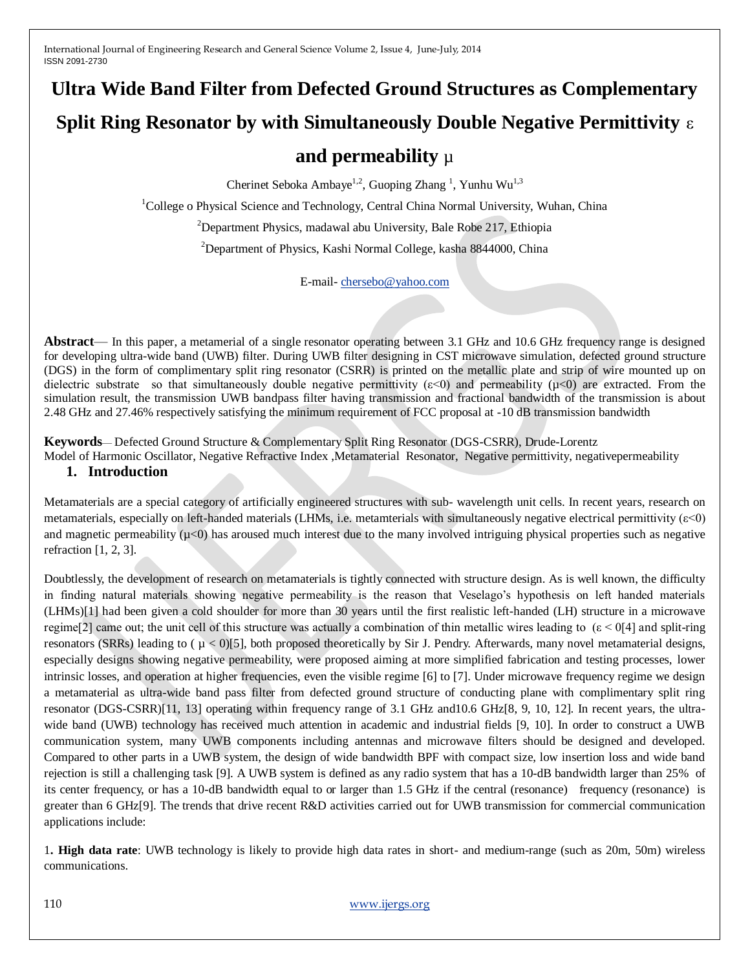# **Ultra Wide Band Filter from Defected Ground Structures as Complementary Split Ring Resonator by with Simultaneously Double Negative Permittivity** ε **and permeability** µ

Cherinet Seboka Ambaye<sup>1,2</sup>, Guoping Zhang<sup>1</sup>, Yunhu Wu<sup>1,3</sup>

<sup>1</sup>College o Physical Science and Technology, Central China Normal University, Wuhan, China

<sup>2</sup>Department Physics, madawal abu University, Bale Robe 217, Ethiopia

<sup>2</sup>Department of Physics, Kashi Normal College, kasha 8844000, China

E-mail- [chersebo@yahoo.com](mailto:chersebo@yahoo.com)

**Abstract**— In this paper, a metamerial of a single resonator operating between 3.1 GHz and 10.6 GHz frequency range is designed for developing ultra-wide band (UWB) filter. During UWB filter designing in CST microwave simulation, defected ground structure (DGS) in the form of complimentary split ring resonator (CSRR) is printed on the metallic plate and strip of wire mounted up on dielectric substrate so that simultaneously double negative permittivity  $(\varepsilon < 0)$  and permeability  $(\mu < 0)$  are extracted. From the simulation result, the transmission UWB bandpass filter having transmission and fractional bandwidth of the transmission is about 2.48 GHz and 27.46% respectively satisfying the minimum requirement of FCC proposal at -10 dB transmission bandwidth

**Keywords**— Defected Ground Structure & Complementary Split Ring Resonator (DGS-CSRR), Drude-Lorentz

Model of Harmonic Oscillator, Negative Refractive Index ,Metamaterial Resonator, Negative permittivity, negativepermeability

# **1. Introduction**

Metamaterials are a special category of artificially engineered structures with sub- wavelength unit cells. In recent years, research on metamaterials, especially on left-handed materials (LHMs, i.e. metamterials with simultaneously negative electrical permittivity (ε<0) and magnetic permeability  $(\mu<0)$  has aroused much interest due to the many involved intriguing physical properties such as negative refraction [1, 2, 3].

Doubtlessly, the development of research on metamaterials is tightly connected with structure design. As is well known, the difficulty in finding natural materials showing negative permeability is the reason that Veselago"s hypothesis on left handed materials (LHMs)[1] had been given a cold shoulder for more than 30 years until the first realistic left-handed (LH) structure in a microwave regime[2] came out; the unit cell of this structure was actually a combination of thin metallic wires leading to  $(\epsilon < 0.014)$  and split-ring resonators (SRRs) leading to  $(\mu < 0)$ [5], both proposed theoretically by Sir J. Pendry. Afterwards, many novel metamaterial designs, especially designs showing negative permeability, were proposed aiming at more simplified fabrication and testing processes, lower intrinsic losses, and operation at higher frequencies, even the visible regime [6] to [7]. Under microwave frequency regime we design a metamaterial as ultra-wide band pass filter from defected ground structure of conducting plane with complimentary split ring resonator (DGS-CSRR)[11, 13] operating within frequency range of 3.1 GHz and10.6 GHz[8, 9, 10, 12]. In recent years, the ultrawide band (UWB) technology has received much attention in academic and industrial fields [9, 10]. In order to construct a UWB communication system, many UWB components including antennas and microwave filters should be designed and developed. Compared to other parts in a UWB system, the design of wide bandwidth BPF with compact size, low insertion loss and wide band rejection is still a challenging task [9]. A UWB system is defined as any radio system that has a 10-dB bandwidth larger than 25% of its center frequency, or has a 10-dB bandwidth equal to or larger than 1.5 GHz if the central (resonance) frequency (resonance) is greater than 6 GHz[9]. The trends that drive recent R&D activities carried out for UWB transmission for commercial communication applications include:

1**. High data rate**: UWB technology is likely to provide high data rates in short- and medium-range (such as 20m, 50m) wireless communications.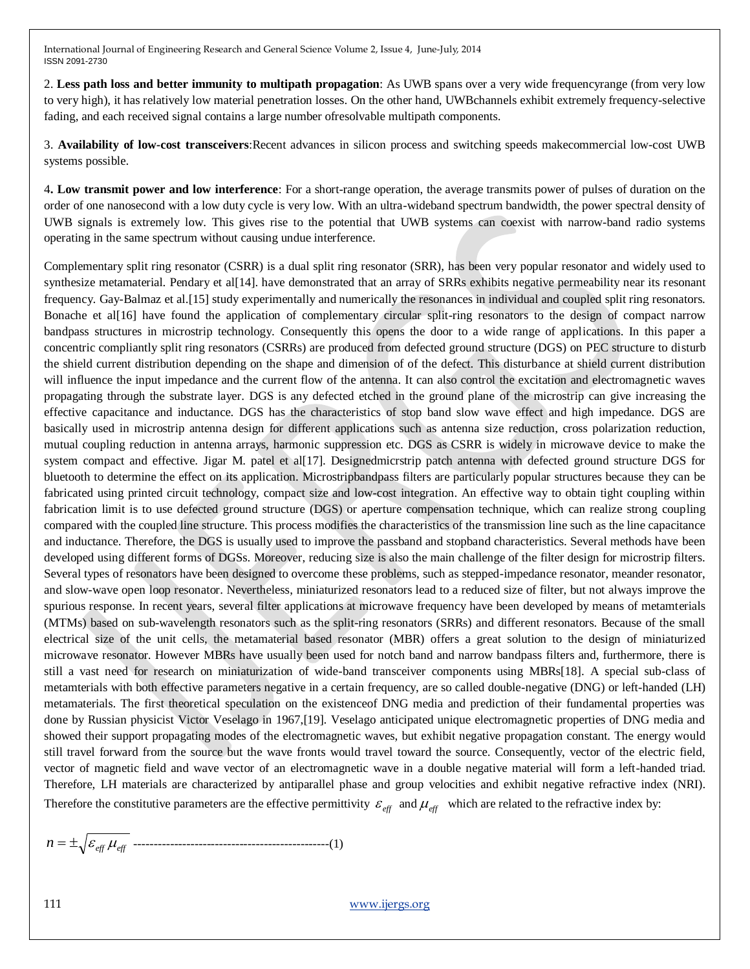2. **Less path loss and better immunity to multipath propagation**: As UWB spans over a very wide frequencyrange (from very low to very high), it has relatively low material penetration losses. On the other hand, UWBchannels exhibit extremely frequency-selective fading, and each received signal contains a large number ofresolvable multipath components.

3. **Availability of low-cost transceivers**:Recent advances in silicon process and switching speeds makecommercial low-cost UWB systems possible.

4**. Low transmit power and low interference**: For a short-range operation, the average transmits power of pulses of duration on the order of one nanosecond with a low duty cycle is very low. With an ultra-wideband spectrum bandwidth, the power spectral density of UWB signals is extremely low. This gives rise to the potential that UWB systems can coexist with narrow-band radio systems operating in the same spectrum without causing undue interference.

Complementary split ring resonator (CSRR) is a dual split ring resonator (SRR), has been very popular resonator and widely used to synthesize metamaterial. Pendary et all<sup>[14]</sup>. have demonstrated that an array of SRRs exhibits negative permeability near its resonant frequency. Gay-Balmaz et al.[15] study experimentally and numerically the resonances in individual and coupled split ring resonators. Bonache et al[16] have found the application of complementary circular split-ring resonators to the design of compact narrow bandpass structures in microstrip technology. Consequently this opens the door to a wide range of applications. In this paper a concentric compliantly split ring resonators (CSRRs) are produced from defected ground structure (DGS) on PEC structure to disturb the shield current distribution depending on the shape and dimension of of the defect. This disturbance at shield current distribution will influence the input impedance and the current flow of the antenna. It can also control the excitation and electromagnetic waves propagating through the substrate layer. DGS is any defected etched in the ground plane of the microstrip can give increasing the effective capacitance and inductance. DGS has the characteristics of stop band slow wave effect and high impedance. DGS are basically used in microstrip antenna design for different applications such as antenna size reduction, cross polarization reduction, mutual coupling reduction in antenna arrays, harmonic suppression etc. DGS as CSRR is widely in microwave device to make the system compact and effective. Jigar M. patel et al[17]. Designedmicrstrip patch antenna with defected ground structure DGS for bluetooth to determine the effect on its application. Microstripbandpass filters are particularly popular structures because they can be fabricated using printed circuit technology, compact size and low-cost integration. An effective way to obtain tight coupling within fabrication limit is to use defected ground structure (DGS) or aperture compensation technique, which can realize strong coupling compared with the coupled line structure. This process modifies the characteristics of the transmission line such as the line capacitance and inductance. Therefore, the DGS is usually used to improve the passband and stopband characteristics. Several methods have been developed using different forms of DGSs. Moreover, reducing size is also the main challenge of the filter design for microstrip filters. Several types of resonators have been designed to overcome these problems, such as stepped-impedance resonator, meander resonator, and slow-wave open loop resonator. Nevertheless, miniaturized resonators lead to a reduced size of filter, but not always improve the spurious response. In recent years, several filter applications at microwave frequency have been developed by means of metamterials (MTMs) based on sub-wavelength resonators such as the split-ring resonators (SRRs) and different resonators. Because of the small electrical size of the unit cells, the metamaterial based resonator (MBR) offers a great solution to the design of miniaturized microwave resonator. However MBRs have usually been used for notch band and narrow bandpass filters and, furthermore, there is still a vast need for research on miniaturization of wide-band transceiver components using MBRs[18]. A special sub-class of metamterials with both effective parameters negative in a certain frequency, are so called double-negative (DNG) or left-handed (LH) metamaterials. The first theoretical speculation on the existenceof DNG media and prediction of their fundamental properties was done by Russian physicist Victor Veselago in 1967,[19]. Veselago anticipated unique electromagnetic properties of DNG media and showed their support propagating modes of the electromagnetic waves, but exhibit negative propagation constant. The energy would still travel forward from the source but the wave fronts would travel toward the source. Consequently, vector of the electric field, vector of magnetic field and wave vector of an electromagnetic wave in a double negative material will form a left-handed triad. Therefore, LH materials are characterized by antiparallel phase and group velocities and exhibit negative refractive index (NRI). Therefore the constitutive parameters are the effective permittivity  $\varepsilon_{eff}$  and  $\mu_{eff}$  which are related to the refractive index by:

*n eff eff* ------------------------------------------------(1)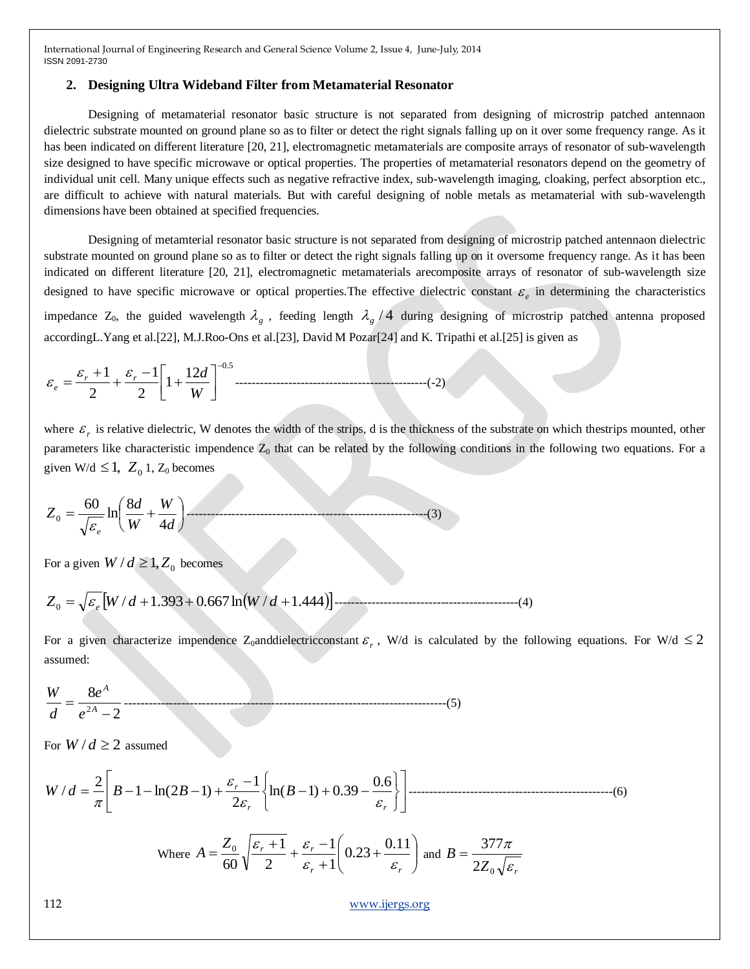#### **2. Designing Ultra Wideband Filter from Metamaterial Resonator**

Designing of metamaterial resonator basic structure is not separated from designing of microstrip patched antennaon dielectric substrate mounted on ground plane so as to filter or detect the right signals falling up on it over some frequency range. As it has been indicated on different literature [20, 21], electromagnetic metamaterials are composite arrays of resonator of sub-wavelength size designed to have specific microwave or optical properties. The properties of metamaterial resonators depend on the geometry of individual unit cell. Many unique effects such as negative refractive index, sub-wavelength imaging, cloaking, perfect absorption etc., are difficult to achieve with natural materials. But with careful designing of noble metals as metamaterial with sub-wavelength dimensions have been obtained at specified frequencies.

Designing of metamterial resonator basic structure is not separated from designing of microstrip patched antennaon dielectric substrate mounted on ground plane so as to filter or detect the right signals falling up on it oversome frequency range. As it has been indicated on different literature [20, 21], electromagnetic metamaterials arecomposite arrays of resonator of sub-wavelength size designed to have specific microwave or optical properties. The effective dielectric constant  $\varepsilon_e$  in determining the characteristics impedance  $Z_0$ , the guided wavelength  $\lambda_g$ , feeding length  $\lambda_g/4$  during designing of microstrip patched antenna proposed accordingL.Yang et al.[22], M.J.Roo-Ons et al.[23], David M Pozar[24] and K. Tripathi et al.[25] is given as

0.5 <sup>12</sup> <sup>1</sup> 2 1 2 1 *W <sup>r</sup> <sup>r</sup> d e* -----------------------------------------------(-2)

where  $\varepsilon_r$  is relative dielectric, W denotes the width of the strips, d is the thickness of the substrate on which thestrips mounted, other parameters like characteristic impendence  $Z_0$  that can be related by the following conditions in the following two equations. For a given W/d  $\leq 1$ ,  $Z_0$  1,  $Z_0$  becomes

$$
Z_0 = \frac{60}{\sqrt{\varepsilon_e}} \ln \left( \frac{8d}{W} + \frac{W}{4d} \right) \tag{3}
$$

For a given  $W/d \ge 1, Z_0$  becomes

/ 1.393 0.667ln / 1.444 *Z*<sup>0</sup> *<sup>e</sup> W d W d* ---------------------------------------------(4)

For a given characterize impendence Z<sub>0</sub>anddielectricconstant  $\varepsilon_r$ , W/d is calculated by the following equations. For W/d  $\leq 2$ assumed:

$$
\frac{W}{d} = \frac{8e^{A}}{e^{2A} - 2}
$$
 (5)

2

60

For  $W/d \ge 2$  assumed

$$
W/d = \frac{2}{\pi} \left[ B - 1 - \ln(2B - 1) + \frac{\varepsilon_r - 1}{2\varepsilon_r} \left\{ \ln(B - 1) + 0.39 - \frac{0.6}{\varepsilon_r} \right\} \right]
$$
  
Where  $A = \frac{Z_0}{60} \sqrt{\frac{\varepsilon_r + 1}{2} + \frac{\varepsilon_r - 1}{\varepsilon_r + 1}} \left( 0.23 + \frac{0.11}{\varepsilon_r} \right)$  and  $B = \frac{377\pi}{2Z_0 \sqrt{\varepsilon_r}}$ 

 $\setminus$ 

1

 $r \uparrow 1$   $\sigma_r$ 

 $\ddot{}$ 

112 [www.ijergs.org](http://www.ijergs.org/)

J

 $Z_{\rm 0} \sqrt{\varepsilon_{\rm r}}$ 

 $2Z_{0}$ 

ε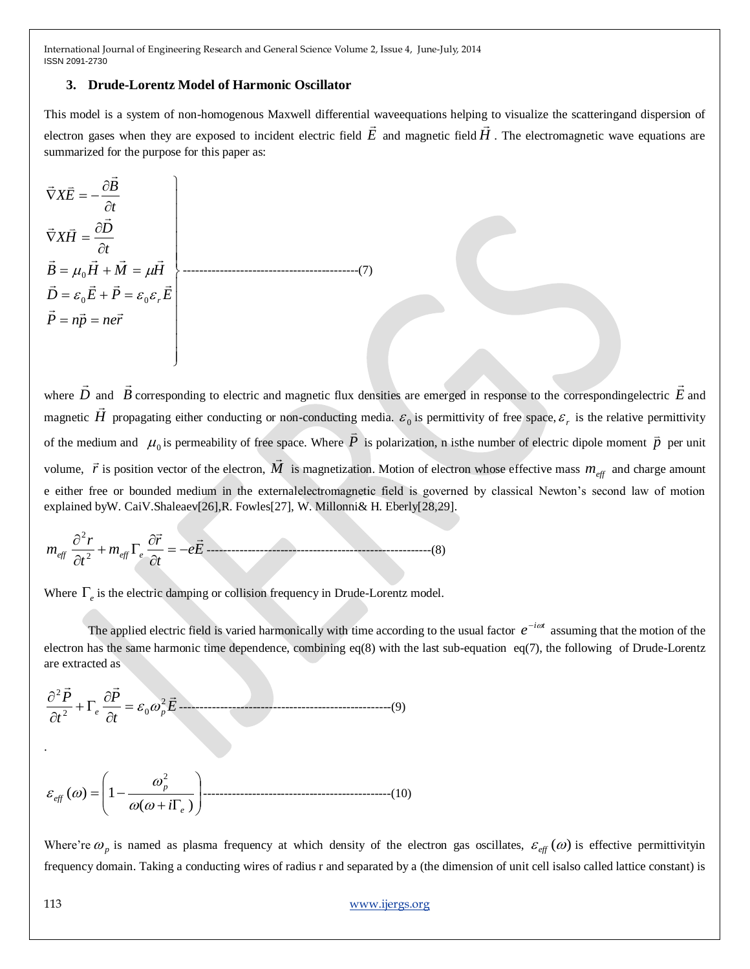#### **3. Drude-Lorentz Model of Harmonic Oscillator**

This model is a system of non-homogenous Maxwell differential waveequations helping to visualize the scatteringand dispersion of electron gases when they are exposed to incident electric field  $E$  and magnetic field  $H$ . The electromagnetic wave equations are summarized for the purpose for this paper as:

 $\left| \right|$  $\left| \right|$  $\overline{\phantom{a}}$  $\overline{ }$  $\vec{D} = \varepsilon_0 \vec{E} + \vec{P} = \varepsilon_0 \varepsilon_r \vec{E}$  $\overline{\phantom{a}}$  $\overline{\phantom{a}}$  $\overline{ }$  $\left| \right|$  $\overline{\phantom{a}}$  $B = \mu_0 H + M = \mu H$  $\mathbf{I}$  $\vec{P} = n\vec{p} = ne\vec{r}$  $\partial$  $\vec{\nabla}X\vec{H}=\frac{\partial}{\partial x}$  $\partial$  $\vec{\nabla}X\vec{E}=-\frac{\partial}{\partial x}$ *t*  $X\vec{H} = \frac{\partial D}{\partial \vec{H}}$ *t*  $X\vec{E}=-\frac{\partial B}{\partial A}$  $\vec{D} = \varepsilon_0 \vec{E} + \vec{P} = \varepsilon_0 \varepsilon_r \vec{E}$  $\rightarrow$   $\rightarrow$   $\rightarrow$   $\rightarrow$  $\overline{a}$  $\vec{B}$  $\mu_0 H + M = \mu$ -------------------------------------------(7)

 $\mathbf{I}$ 

J

where *D*  $\rightarrow$ and *B*  $\rightarrow$ corresponding to electric and magnetic flux densities are emerged in response to the correspondingelectric *E*  $\rightarrow$ and magnetic *H* u.<br>→ propagating either conducting or non-conducting media.  $\varepsilon_0$  is permittivity of free space,  $\varepsilon_r$  is the relative permittivity of the medium and  $\mu_0$  is permeability of free space. Where  $$  $\tilde{=}$ is polarization, n is the number of electric dipole moment  $\vec{p}$  per unit volume,  $\vec{r}$  is position vector of the electron,  $\vec{M}$  $\overline{a}$ is magnetization. Motion of electron whose effective mass  $m_{\text{eff}}$  and charge amount e either free or bounded medium in the externalelectromagnetic field is governed by classical Newton"s second law of motion explained byW. CaiV.Shaleaev[26],R. Fowles[27], W. Millonni& H. Eberly[28,29].

$$
m_{\text{eff}}\frac{\partial^2 r}{\partial t^2} + m_{\text{eff}}\Gamma_e \frac{\partial \vec{r}}{\partial t} = -e\vec{E} \text{ [1] (1) (1) (1) (2) (2) (3) (1) (0)}
$$

Where  $\Gamma_e$  is the electric damping or collision frequency in Drude-Lorentz model.

The applied electric field is varied harmonically with time according to the usual factor  $e^{-i\omega t}$  assuming that the motion of the electron has the same harmonic time dependence, combining eq(8) with the last sub-equation eq(7), the following of Drude-Lorentz are extracted as

$$
\frac{\partial^2 \vec{P}}{\partial t^2} + \Gamma_e \frac{\partial \vec{P}}{\partial t} = \varepsilon_0 \omega_p^2 \vec{E}
$$
 (9)

 ( ) ( ) 1 2 *e p eff i* ----------------------------------------------(10)

Where're  $\omega_p$  is named as plasma frequency at which density of the electron gas oscillates,  $\varepsilon_{\text{eff}}(\omega)$  is effective permittivityin frequency domain. Taking a conducting wires of radius r and separated by a (the dimension of unit cell isalso called lattice constant) is

.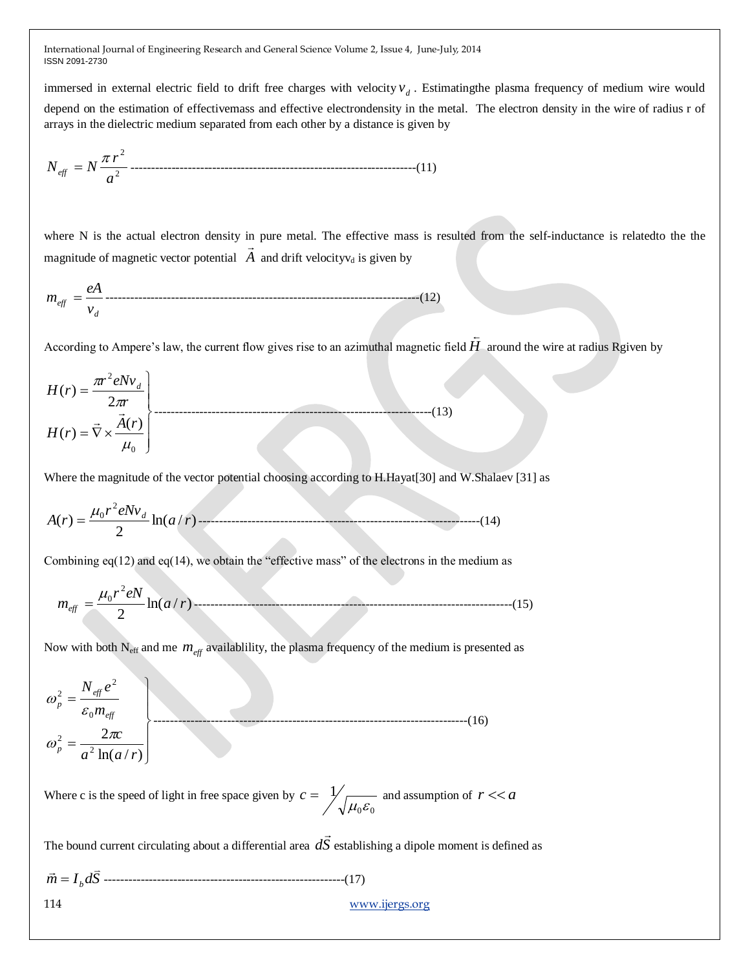immersed in external electric field to drift free charges with velocity  $v_d$ . Estimating the plasma frequency of medium wire would depend on the estimation of effectivemass and effective electrondensity in the metal. The electron density in the wire of radius r of arrays in the dielectric medium separated from each other by a distance is given by

2 2 *a r Neff N* ----------------------------------------------------------------------(11)

where N is the actual electron density in pure metal. The effective mass is resulted from the self-inductance is related to the the magnitude of magnetic vector potential  $\overrightarrow{A}$  and drift velocityv<sub>d</sub> is given by

*d eff v eA m* -----------------------------------------------------------------------------(12)

According to Ampere's law, the current flow gives rise to an azimuthal magnetic field  $\hat{H}$  $\overline{a}$ around the wire at radius Rgiven by

$$
H(r) = \frac{\pi r^2 eNv_d}{2\pi r}
$$
  
\n
$$
H(r) = \vec{\nabla} \times \frac{\vec{A}(r)}{\mu_0}
$$
 (13)

Where the magnitude of the vector potential choosing according to H.Hayat[30] and W.Shalaev [31] as

$$
A(r) = \frac{\mu_0 r^2 eNv_d}{2} \ln(a/r)
$$
 (14)

Combining  $eq(12)$  and  $eq(14)$ , we obtain the "effective mass" of the electrons in the medium as

$$
m_{\text{eff}} = \frac{\mu_0 r^2 eN}{2} \ln(a/r) \tag{15}
$$

Now with both  $N_{\text{eff}}$  and me  $m_{\text{eff}}$  availablility, the plasma frequency of the medium is presented as

$$
\omega_p^2 = \frac{N_{\text{eff}}e^2}{\varepsilon_0 m_{\text{eff}}}
$$
\n
$$
\omega_p^2 = \frac{2\pi c}{a^2 \ln(a/r)}
$$
\n(16)

Where c is the speed of light in free space given by  $_0$  $\boldsymbol{\sigma}_0$ 1  $\mu_{\scriptscriptstyle 0} \varepsilon$  $c = \frac{1}{r}$  and assumption of  $r \ll a$ 

The bound current circulating about a differential area *dS*  $\rightarrow$ establishing a dipole moment is defined as

*m I <sup>b</sup> dS* -----------------------------------------------------------(17)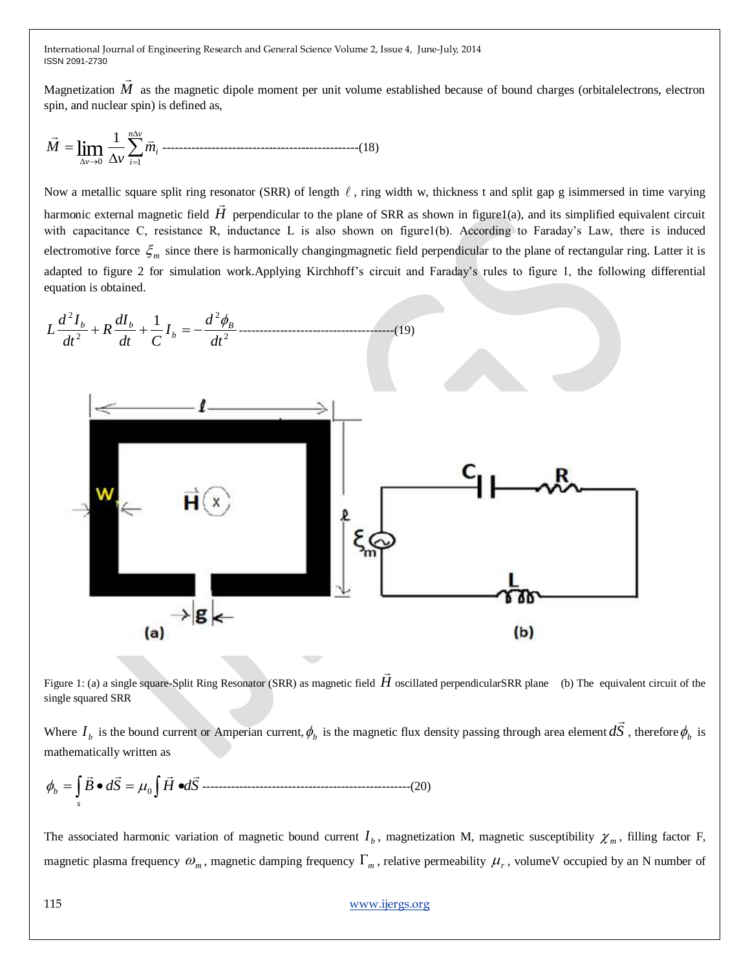Magnetization *M*  $\rightarrow$ as the magnetic dipole moment per unit volume established because of bound charges (orbitalelectrons, electron spin, and nuclear spin) is defined as,

 *n v i i v m v M* 0 1 1 lim ------------------------------------------------(18)

Now a metallic square split ring resonator (SRR) of length  $\ell$ , ring width w, thickness t and split gap g isimmersed in time varying harmonic external magnetic field  $H$  perpendicular to the plane of SRR as shown in figure1(a), and its simplified equivalent circuit with capacitance C, resistance R, inductance L is also shown on figure1(b). According to Faraday"s Law, there is induced electromotive force  $\zeta_m$  since there is harmonically changingmagnetic field perpendicular to the plane of rectangular ring. Latter it is adapted to figure 2 for simulation work.Applying Kirchhoff's circuit and Faraday's rules to figure 1, the following differential equation is obtained.



Figure 1: (a) a single square-Split Ring Resonator (SRR) as magnetic field *H*  $\rightarrow$ oscillated perpendicularSRR plane (b) The equivalent circuit of the single squared SRR

Where  $I_b$  is the bound current or Amperian current,  $\phi_b$  is the magnetic flux density passing through area element  $dS$  $\rightarrow$ , therefore  $\phi_b$  is mathematically written as

*B dS H dS s b* <sup>0</sup> ---------------------------------------------------(20)

The associated harmonic variation of magnetic bound current  $I_b$ , magnetization M, magnetic susceptibility  $\chi_m$ , filling factor F, magnetic plasma frequency  $\omega_m$ , magnetic damping frequency  $\Gamma_m$ , relative permeability  $\mu_r$ , volumeV occupied by an N number of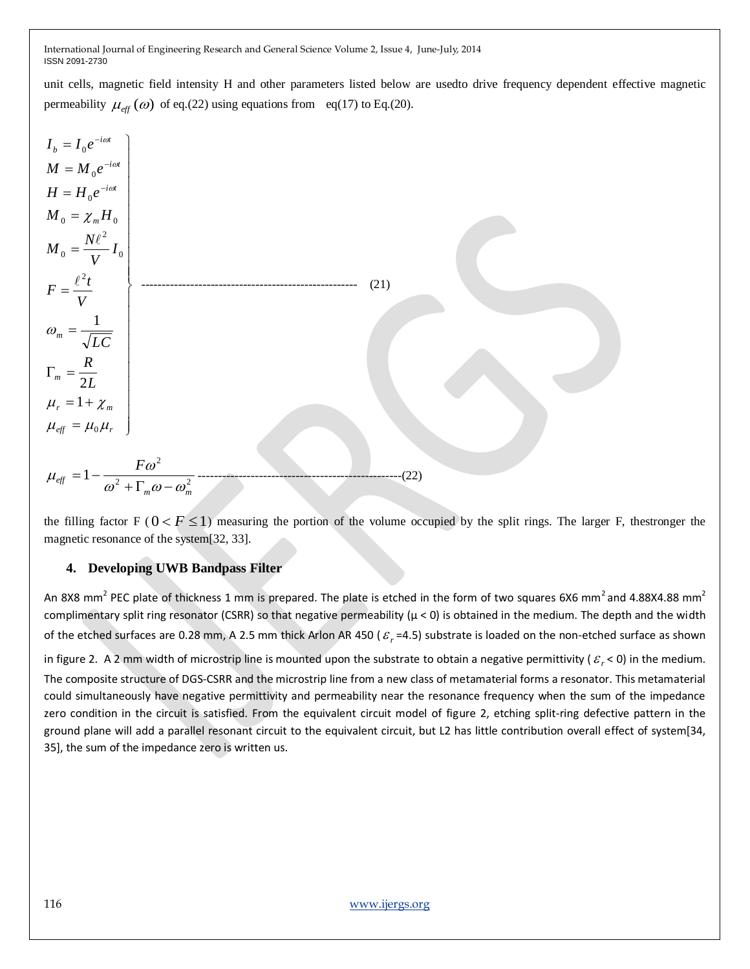unit cells, magnetic field intensity H and other parameters listed below are usedto drive frequency dependent effective magnetic permeability  $\mu_{\text{eff}}(\omega)$  of eq.(22) using equations from eq(17) to Eq.(20).

$$
I_b = I_0 e^{-i\omega t}
$$
  
\n
$$
M = M_0 e^{-i\omega t}
$$
  
\n
$$
H = H_0 e^{-i\omega t}
$$
  
\n
$$
M_0 = \chi_m H_0
$$
  
\n
$$
M_0 = \frac{N\ell^2}{V} I_0
$$
  
\n
$$
F = \frac{\ell^2 t}{V}
$$
  
\n
$$
\Gamma_m = \frac{R}{2L}
$$
  
\n
$$
\mu_r = 1 + \chi_m
$$
  
\n
$$
\mu_{eff} = \mu_0 \mu_r
$$
\n(21)  
\n
$$
\mu_{eff} = 1 - \frac{F\omega^2}{2L}
$$
  
\n(22)

the filling factor F ( $0 < F \le 1$ ) measuring the portion of the volume occupied by the split rings. The larger F, thestronger the magnetic resonance of the system[32, 33].

# **4. Developing UWB Bandpass Filter**

An 8X8 mm<sup>2</sup> PEC plate of thickness 1 mm is prepared. The plate is etched in the form of two squares 6X6 mm<sup>2</sup> and 4.88X4.88 mm<sup>2</sup> complimentary split ring resonator (CSRR) so that negative permeability ( $\mu$  < 0) is obtained in the medium. The depth and the width of the etched surfaces are 0.28 mm, A 2.5 mm thick Arlon AR 450 ( $\varepsilon_r$ =4.5) substrate is loaded on the non-etched surface as shown in figure 2. A 2 mm width of microstrip line is mounted upon the substrate to obtain a negative permittivity ( $\varepsilon_r$  < 0) in the medium. The composite structure of DGS-CSRR and the microstrip line from a new class of metamaterial forms a resonator. This metamaterial could simultaneously have negative permittivity and permeability near the resonance frequency when the sum of the impedance zero condition in the circuit is satisfied. From the equivalent circuit model of figure 2, etching split-ring defective pattern in the ground plane will add a parallel resonant circuit to the equivalent circuit, but L2 has little contribution overall effect of system[34, 35], the sum of the impedance zero is written us.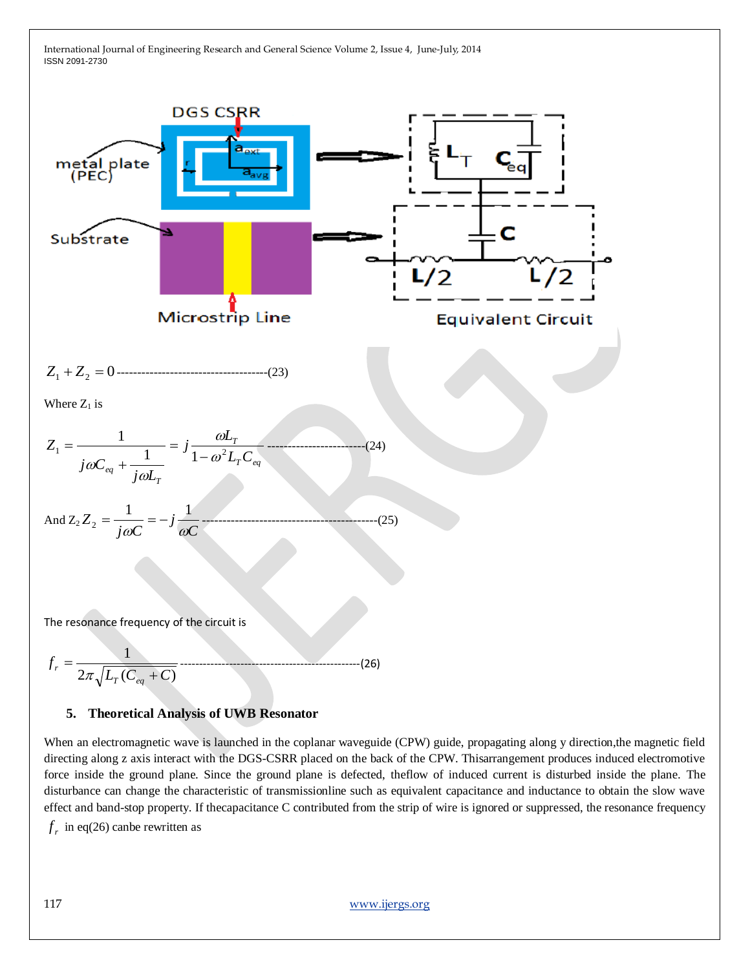

# **5. Theoretical Analysis of UWB Resonator**

When an electromagnetic wave is launched in the coplanar waveguide (CPW) guide, propagating along y direction,the magnetic field directing along z axis interact with the DGS-CSRR placed on the back of the CPW. Thisarrangement produces induced electromotive force inside the ground plane. Since the ground plane is defected, theflow of induced current is disturbed inside the plane. The disturbance can change the characteristic of transmissionline such as equivalent capacitance and inductance to obtain the slow wave effect and band-stop property. If thecapacitance C contributed from the strip of wire is ignored or suppressed, the resonance frequency

 $f<sub>r</sub>$  in eq(26) canbe rewritten as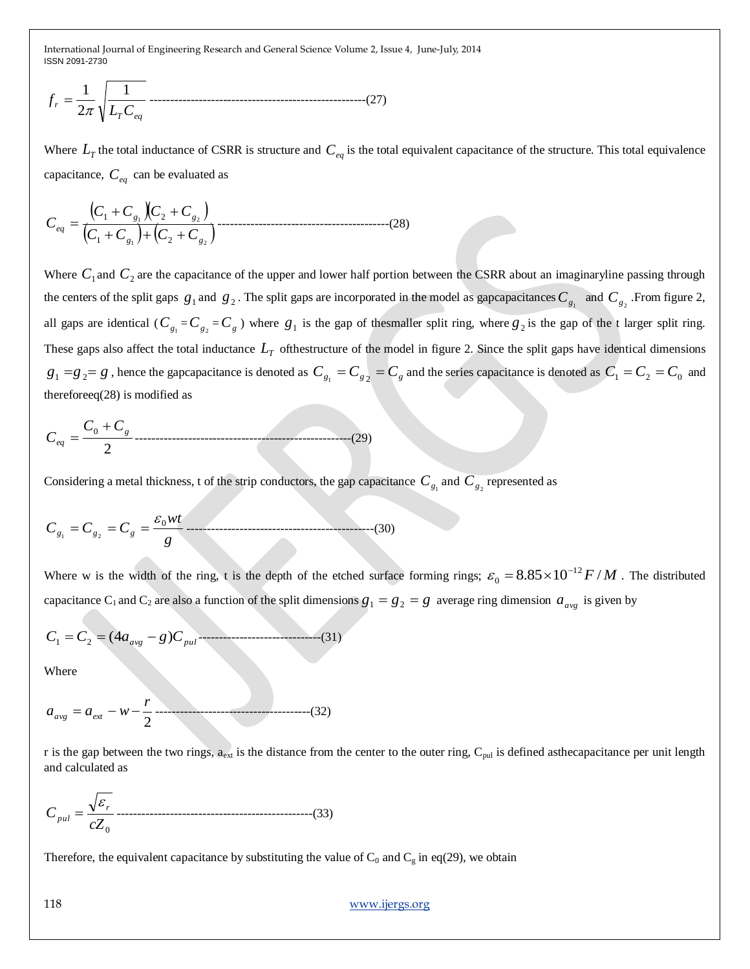*T eq r L C f* 1 2 1 -----------------------------------------------------(27)

Where  $L<sub>T</sub>$  the total inductance of CSRR is structure and  $C<sub>eq</sub>$  is the total equivalent capacitance of the structure. This total equivalence capacitance, *Ceq* can be evaluated as

$$
C_{eq} = \frac{(C_1 + C_{g_1})(C_2 + C_{g_2})}{(C_1 + C_{g_1}) + (C_2 + C_{g_2})}
$$
.........(28)

Where  $C_1$  and  $C_2$  are the capacitance of the upper and lower half portion between the CSRR about an imaginaryline passing through the centers of the split gaps  $g_1$  and  $g_2$ . The split gaps are incorporated in the model as gapcapacitances  $C_{g_1}$  and  $C_{g_2}$ . From figure 2, all gaps are identical ( $C_{g_1} = C_{g_2} = C_g$ ) where  $g_1$  is the gap of thesmaller split ring, where  $g_2$  is the gap of the t larger split ring. These gaps also affect the total inductance  $L_T$  ofthestructure of the model in figure 2. Since the split gaps have identical dimensions  $g_1 = g_2 = g$ , hence the gapcapacitance is denoted as  $C_{g_1} = C_{g_2} = C_g$  and the series capacitance is denoted as  $C_1 = C_2 = C_0$  and thereforeeq(28) is modified as

$$
C_{eq} = \frac{C_0 + C_g}{2} \dots (29)
$$

Considering a metal thickness, t of the strip conductors, the gap capacitance  $C_{g_1}$  and  $C_{g_2}$  represented as

*g wt <sup>C</sup><sup>g</sup> <sup>C</sup><sup>g</sup> <sup>C</sup><sup>g</sup>* 0 1 2 ----------------------------------------------(30)

Where w is the width of the ring, t is the depth of the etched surface forming rings;  $\varepsilon_0 = 8.85 \times 10^{-12} F/M$ 0  $\varepsilon_0 = 8.85 \times 10^{-12} F/M$ . The distributed capacitance C<sub>1</sub> and C<sub>2</sub> are also a function of the split dimensions  $g_1 = g_2 = g$  average ring dimension  $a_{avg}$  is given by

*C C aavg g Cpul* (4 ) <sup>1</sup> <sup>2</sup> ------------------------------(31)

Where

$$
a_{avg} = a_{ext} - w - \frac{r}{2} \tag{32}
$$

r is the gap between the two rings,  $a_{ext}$  is the distance from the center to the outer ring,  $C_{pul}$  is defined asthecapacitance per unit length and calculated as

0 *cZ C r pul* ------------------------------------------------(33)

Therefore, the equivalent capacitance by substituting the value of  $C_0$  and  $C_g$  in eq(29), we obtain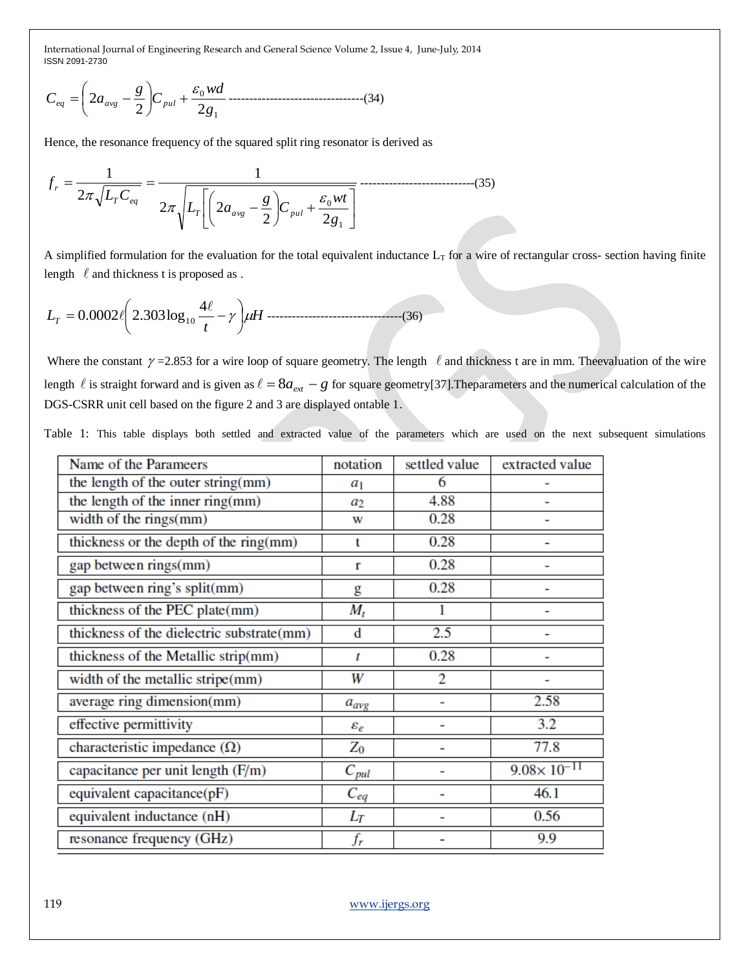$$
C_{eq} = \left(2a_{avg} - \frac{g}{2}\right)C_{pul} + \frac{\varepsilon_0 wd}{2g_1} \dots (34)
$$

Hence, the resonance frequency of the squared split ring resonator is derived as

 1 0 2 2 2 2 1 2 1 *g wt <sup>C</sup> g L a L C f T avg pul T eq r* ----------------------------(35)

A simplified formulation for the evaluation for the total equivalent inductance  $L_T$  for a wire of rectangular cross- section having finite length  $\ell$  and thickness t is proposed as.

$$
L_T = 0.0002 \ell \left( 2.303 \log_{10} \frac{4\ell}{t} - \gamma \right) \mu H \dots (36)
$$

Where the constant  $\gamma$  =2.853 for a wire loop of square geometry. The length  $\ell$  and thickness t are in mm. The evaluation of the wire length  $\ell$  is straight forward and is given as  $\ell = 8a_{ext} - g$  for square geometry[37]. The parameters and the numerical calculation of the DGS-CSRR unit cell based on the figure 2 and 3 are displayed ontable 1.

Table 1: This table displays both settled and extracted value of the parameters which are used on the next subsequent simulations

| Name of the Parameers                     | notation        | settled value  | extracted value        |
|-------------------------------------------|-----------------|----------------|------------------------|
| the length of the outer string(mm)        | $a_1$           | 6              |                        |
| the length of the inner ring(mm)          | a2              | 4.88           |                        |
| width of the rings(mm)                    | w               | 0.28           |                        |
| thickness or the depth of the ring(mm)    | t               | 0.28           |                        |
| gap between rings(mm)                     | r               | 0.28           |                        |
| gap between ring's split(mm)              | g               | 0.28           |                        |
| thickness of the PEC plate(mm)            | $M_t$           |                |                        |
| thickness of the dielectric substrate(mm) | d               | 2.5            |                        |
| thickness of the Metallic strip(mm)       | t               | 0.28           |                        |
| width of the metallic stripe(mm)          | W               | $\overline{2}$ |                        |
| average ring dimension(mm)                | $a_{avg}$       |                | 2.58                   |
| effective permittivity                    | $\varepsilon_e$ |                | $\overline{3.2}$       |
| characteristic impedance $(\Omega)$       | $\mathrm Z_0$   |                | 77.8                   |
| capacitance per unit length (F/m)         | $C_{pul}$       |                | $9.08 \times 10^{-11}$ |
| equivalent capacitance(pF)                | $C_{eq}$        |                | 46.1                   |
| equivalent inductance (nH)                | $_{L_T}$        |                | 0.56                   |
| resonance frequency (GHz)                 | $f_r$           |                | 9.9                    |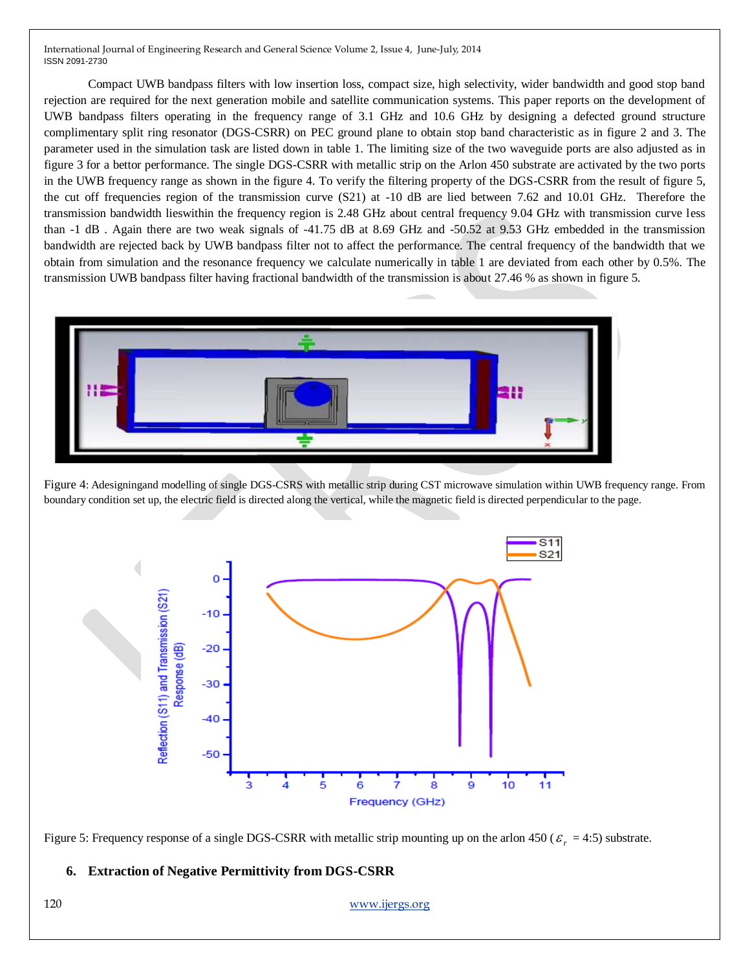Compact UWB bandpass filters with low insertion loss, compact size, high selectivity, wider bandwidth and good stop band rejection are required for the next generation mobile and satellite communication systems. This paper reports on the development of UWB bandpass filters operating in the frequency range of 3.1 GHz and 10.6 GHz by designing a defected ground structure complimentary split ring resonator (DGS-CSRR) on PEC ground plane to obtain stop band characteristic as in figure 2 and 3. The parameter used in the simulation task are listed down in table 1. The limiting size of the two waveguide ports are also adjusted as in figure 3 for a bettor performance. The single DGS-CSRR with metallic strip on the Arlon 450 substrate are activated by the two ports in the UWB frequency range as shown in the figure 4. To verify the filtering property of the DGS-CSRR from the result of figure 5, the cut off frequencies region of the transmission curve (S21) at -10 dB are lied between 7.62 and 10.01 GHz. Therefore the transmission bandwidth lieswithin the frequency region is 2.48 GHz about central frequency 9.04 GHz with transmission curve less than -1 dB . Again there are two weak signals of -41.75 dB at 8.69 GHz and -50.52 at 9.53 GHz embedded in the transmission bandwidth are rejected back by UWB bandpass filter not to affect the performance. The central frequency of the bandwidth that we obtain from simulation and the resonance frequency we calculate numerically in table 1 are deviated from each other by 0.5%. The transmission UWB bandpass filter having fractional bandwidth of the transmission is about 27.46 % as shown in figure 5.



Figure 4: Adesigningand modelling of single DGS-CSRS with metallic strip during CST microwave simulation within UWB frequency range. From boundary condition set up, the electric field is directed along the vertical, while the magnetic field is directed perpendicular to the page.



Figure 5: Frequency response of a single DGS-CSRR with metallic strip mounting up on the arlon  $450$  ( $\varepsilon_r = 4.5$ ) substrate.

## **6. Extraction of Negative Permittivity from DGS-CSRR**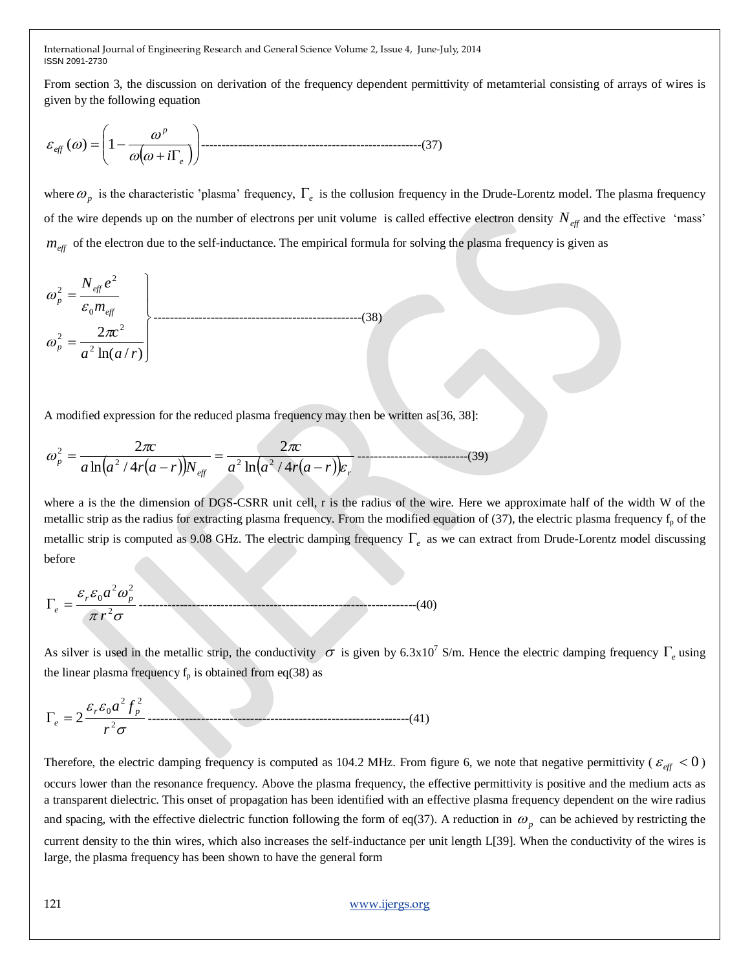From section 3, the discussion on derivation of the frequency dependent permittivity of metamterial consisting of arrays of wires is given by the following equation

 *e p eff i* () 1 ------------------------------------------------------(37)

where  $\omega_p$  is the characteristic 'plasma' frequency,  $\Gamma_e$  is the collusion frequency in the Drude-Lorentz model. The plasma frequency of the wire depends up on the number of electrons per unit volume is called effective electron density  $N_{\text{eff}}$  and the effective 'mass'  $m_{\text{eff}}$  of the electron due to the self-inductance. The empirical formula for solving the plasma frequency is given as

$$
\omega_p^2 = \frac{N_{\text{eff}} e^2}{\varepsilon_0 m_{\text{eff}}}
$$
\n
$$
\omega_p^2 = \frac{2\pi c^2}{a^2 \ln(a/r)}
$$
\n(38)

A modified expression for the reduced plasma frequency may then be written as  $[36, 38]$ :

$$
\omega_p^2 = \frac{2\pi c}{a \ln(a^2/4r(a-r))N_{\text{eff}}} = \frac{2\pi c}{a^2 \ln(a^2/4r(a-r))\varepsilon_r}
$$
 (39)

where a is the the dimension of DGS-CSRR unit cell, r is the radius of the wire. Here we approximate half of the width W of the metallic strip as the radius for extracting plasma frequency. From the modified equation of  $(37)$ , the electric plasma frequency  $f<sub>p</sub>$  of the metallic strip is computed as 9.08 GHz. The electric damping frequency  $\Gamma_e$  as we can extract from Drude-Lorentz model discussing before

$$
\Gamma_e = \frac{\varepsilon_r \varepsilon_0 a^2 \omega_p^2}{\pi r^2 \sigma} \tag{40}
$$

As silver is used in the metallic strip, the conductivity  $\sigma$  is given by 6.3x10<sup>7</sup> S/m. Hence the electric damping frequency  $\Gamma_e$  using the linear plasma frequency  $f_p$  is obtained from eq(38) as

$$
\Gamma_e = 2 \frac{\varepsilon_r \varepsilon_0 a^2 f_p^2}{r^2 \sigma} \dots \tag{41}
$$

Therefore, the electric damping frequency is computed as 104.2 MHz. From figure 6, we note that negative permittivity ( $\varepsilon_{eff}$  < 0) occurs lower than the resonance frequency. Above the plasma frequency, the effective permittivity is positive and the medium acts as a transparent dielectric. This onset of propagation has been identified with an effective plasma frequency dependent on the wire radius and spacing, with the effective dielectric function following the form of eq(37). A reduction in  $\omega_p$  can be achieved by restricting the current density to the thin wires, which also increases the self-inductance per unit length L[39]. When the conductivity of the wires is large, the plasma frequency has been shown to have the general form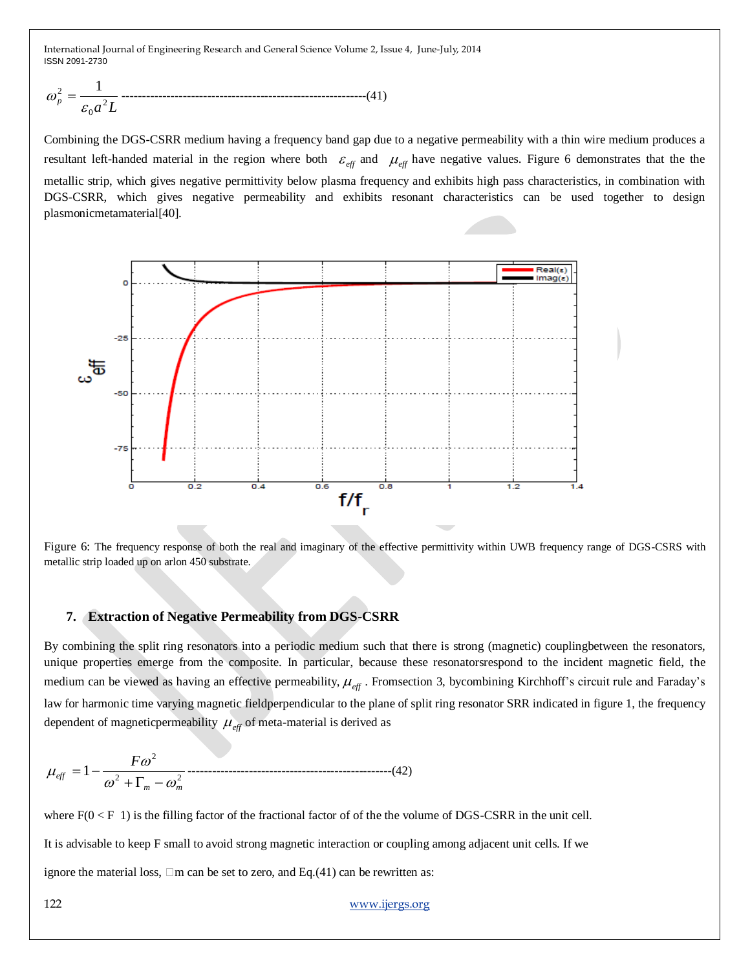*a L p* 2 0 <sup>2</sup> 1 ------------------------------------------------------------(41)

Combining the DGS-CSRR medium having a frequency band gap due to a negative permeability with a thin wire medium produces a resultant left-handed material in the region where both  $\varepsilon_{\text{eff}}$  and  $\mu_{\text{eff}}$  have negative values. Figure 6 demonstrates that the the metallic strip, which gives negative permittivity below plasma frequency and exhibits high pass characteristics, in combination with DGS-CSRR, which gives negative permeability and exhibits resonant characteristics can be used together to design plasmonicmetamaterial[40].



Figure 6: The frequency response of both the real and imaginary of the effective permittivity within UWB frequency range of DGS-CSRS with metallic strip loaded up on arlon 450 substrate.

## **7. Extraction of Negative Permeability from DGS-CSRR**

By combining the split ring resonators into a periodic medium such that there is strong (magnetic) couplingbetween the resonators, unique properties emerge from the composite. In particular, because these resonatorsrespond to the incident magnetic field, the medium can be viewed as having an effective permeability,  $\mu_{\text{eff}}$ . Fromsection 3, bycombining Kirchhoff's circuit rule and Faraday's law for harmonic time varying magnetic fieldperpendicular to the plane of split ring resonator SRR indicated in figure 1, the frequency dependent of magnetic permeability  $\mu_{\text{eff}}$  of meta-material is derived as

2 2 2 1 *m m eff F* --------------------------------------------------(42)

where  $F(0 \le F 1)$  is the filling factor of the fractional factor of of the the volume of DGS-CSRR in the unit cell.

It is advisable to keep F small to avoid strong magnetic interaction or coupling among adjacent unit cells. If we

ignore the material loss,  $\Box$ m can be set to zero, and Eq.(41) can be rewritten as: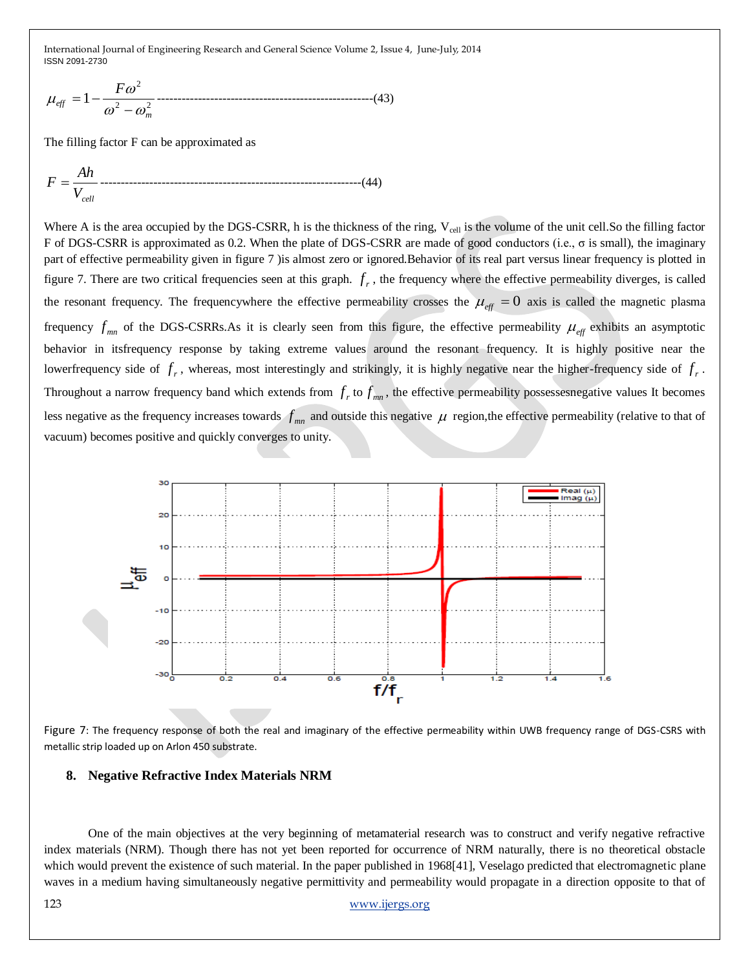2 2 2 1 *m eff F* -----------------------------------------------------(43)

The filling factor F can be approximated as

$$
F = \frac{Ah}{V_{cell}}
$$
.................  
.................  
.................  
.................  
.........(44)

Where A is the area occupied by the DGS-CSRR, h is the thickness of the ring,  $V_{cell}$  is the volume of the unit cell.So the filling factor F of DGS-CSRR is approximated as 0.2. When the plate of DGS-CSRR are made of good conductors (i.e., σ is small), the imaginary part of effective permeability given in figure 7 )is almost zero or ignored.Behavior of its real part versus linear frequency is plotted in figure 7. There are two critical frequencies seen at this graph.  $f_r$ , the frequency where the effective permeability diverges, is called the resonant frequency. The frequencywhere the effective permeability crosses the  $\mu_{eff} = 0$  axis is called the magnetic plasma frequency  $f_{mn}$  of the DGS-CSRRs.As it is clearly seen from this figure, the effective permeability  $\mu_{eff}$  exhibits an asymptotic behavior in itsfrequency response by taking extreme values around the resonant frequency. It is highly positive near the lowerfrequency side of  $f_r$ , whereas, most interestingly and strikingly, it is highly negative near the higher-frequency side of  $f_r$ . Throughout a narrow frequency band which extends from  $f_r$  to  $f_{mn}$ , the effective permeability possesses negative values It becomes less negative as the frequency increases towards  $f_{mn}$  and outside this negative  $\mu$  region, the effective permeability (relative to that of vacuum) becomes positive and quickly converges to unity.



Figure 7: The frequency response of both the real and imaginary of the effective permeability within UWB frequency range of DGS-CSRS with metallic strip loaded up on Arlon 450 substrate.

#### **8. Negative Refractive Index Materials NRM**

One of the main objectives at the very beginning of metamaterial research was to construct and verify negative refractive index materials (NRM). Though there has not yet been reported for occurrence of NRM naturally, there is no theoretical obstacle which would prevent the existence of such material. In the paper published in 1968[41], Veselago predicted that electromagnetic plane waves in a medium having simultaneously negative permittivity and permeability would propagate in a direction opposite to that of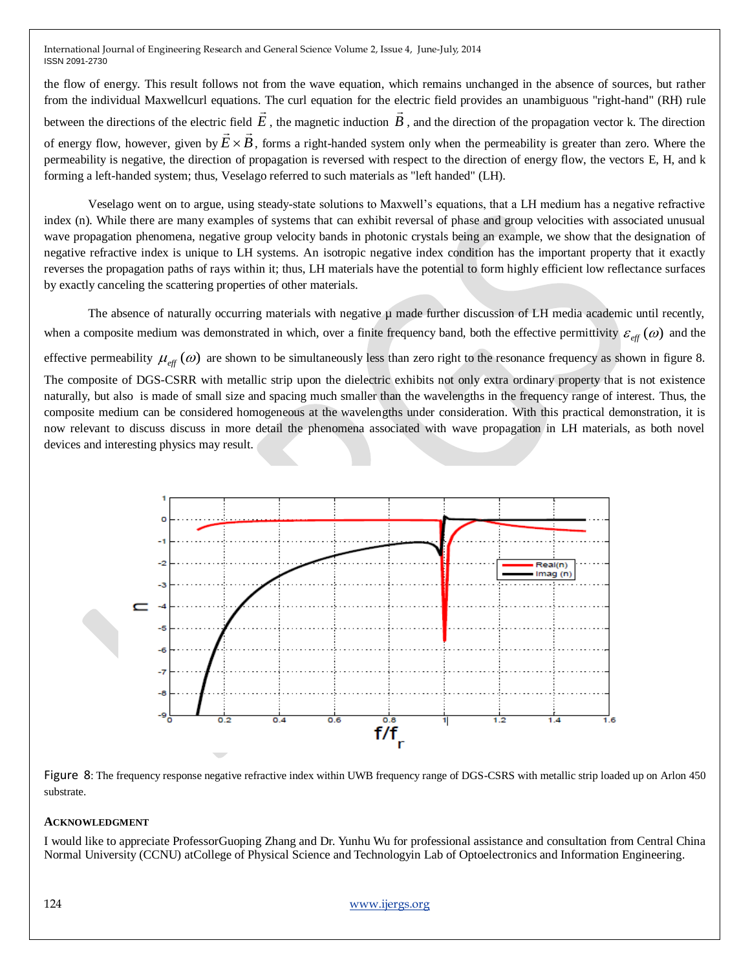the flow of energy. This result follows not from the wave equation, which remains unchanged in the absence of sources, but rather from the individual Maxwellcurl equations. The curl equation for the electric field provides an unambiguous "right-hand" (RH) rule between the directions of the electric field *E*  $\rightarrow$ , the magnetic induction *B*  $\rightarrow$ : field  $E$ , the magnetic induction  $B$ , and the direction of the propagation vector k. The direction of energy flow, however, given by  $\vec{E} \times \vec{B}$ , forms a right-handed system only when the permeability is greater than zero. Where the permeability is negative, the direction of propagation is reversed with respect to the direction of energy flow, the vectors E, H, and k forming a left-handed system; thus, Veselago referred to such materials as "left handed" (LH).

Veselago went on to argue, using steady-state solutions to Maxwell"s equations, that a LH medium has a negative refractive index (n). While there are many examples of systems that can exhibit reversal of phase and group velocities with associated unusual wave propagation phenomena, negative group velocity bands in photonic crystals being an example, we show that the designation of negative refractive index is unique to LH systems. An isotropic negative index condition has the important property that it exactly reverses the propagation paths of rays within it; thus, LH materials have the potential to form highly efficient low reflectance surfaces by exactly canceling the scattering properties of other materials.

The absence of naturally occurring materials with negative u made further discussion of LH media academic until recently, when a composite medium was demonstrated in which, over a finite frequency band, both the effective permittivity  $\varepsilon_{eff}(\omega)$  and the

effective permeability  $\mu_{\text{eff}}(\omega)$  are shown to be simultaneously less than zero right to the resonance frequency as shown in figure 8.

The composite of DGS-CSRR with metallic strip upon the dielectric exhibits not only extra ordinary property that is not existence naturally, but also is made of small size and spacing much smaller than the wavelengths in the frequency range of interest. Thus, the composite medium can be considered homogeneous at the wavelengths under consideration. With this practical demonstration, it is now relevant to discuss discuss in more detail the phenomena associated with wave propagation in LH materials, as both novel devices and interesting physics may result.



Figure 8: The frequency response negative refractive index within UWB frequency range of DGS-CSRS with metallic strip loaded up on Arlon 450 substrate.

## **ACKNOWLEDGMENT**

I would like to appreciate ProfessorGuoping Zhang and Dr. Yunhu Wu for professional assistance and consultation from Central China Normal University (CCNU) atCollege of Physical Science and Technologyin Lab of Optoelectronics and Information Engineering.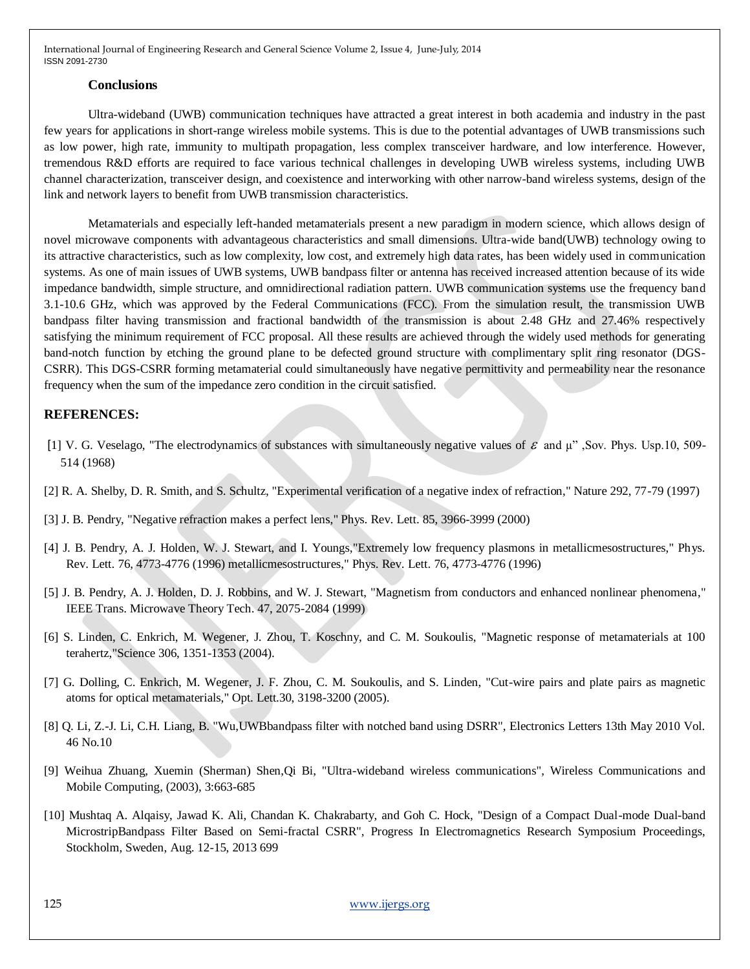#### **Conclusions**

Ultra-wideband (UWB) communication techniques have attracted a great interest in both academia and industry in the past few years for applications in short-range wireless mobile systems. This is due to the potential advantages of UWB transmissions such as low power, high rate, immunity to multipath propagation, less complex transceiver hardware, and low interference. However, tremendous R&D efforts are required to face various technical challenges in developing UWB wireless systems, including UWB channel characterization, transceiver design, and coexistence and interworking with other narrow-band wireless systems, design of the link and network layers to benefit from UWB transmission characteristics.

Metamaterials and especially left-handed metamaterials present a new paradigm in modern science, which allows design of novel microwave components with advantageous characteristics and small dimensions. Ultra-wide band(UWB) technology owing to its attractive characteristics, such as low complexity, low cost, and extremely high data rates, has been widely used in communication systems. As one of main issues of UWB systems, UWB bandpass filter or antenna has received increased attention because of its wide impedance bandwidth, simple structure, and omnidirectional radiation pattern. UWB communication systems use the frequency band 3.1-10.6 GHz, which was approved by the Federal Communications (FCC). From the simulation result, the transmission UWB bandpass filter having transmission and fractional bandwidth of the transmission is about 2.48 GHz and 27.46% respectively satisfying the minimum requirement of FCC proposal. All these results are achieved through the widely used methods for generating band-notch function by etching the ground plane to be defected ground structure with complimentary split ring resonator (DGS-CSRR). This DGS-CSRR forming metamaterial could simultaneously have negative permittivity and permeability near the resonance frequency when the sum of the impedance zero condition in the circuit satisfied.

## **REFERENCES:**

- [1] V. G. Veselago, "The electrodynamics of substances with simultaneously negative values of  $\varepsilon$  and  $\mu$ ", Sov. Phys. Usp.10, 509-514 (1968)
- [2] R. A. Shelby, D. R. Smith, and S. Schultz, "Experimental verification of a negative index of refraction," Nature 292, 77-79 (1997)
- [3] J. B. Pendry, "Negative refraction makes a perfect lens," Phys. Rev. Lett. 85, 3966-3999 (2000)
- [4] J. B. Pendry, A. J. Holden, W. J. Stewart, and I. Youngs,"Extremely low frequency plasmons in metallicmesostructures," Phys. Rev. Lett. 76, 4773-4776 (1996) metallicmesostructures," Phys. Rev. Lett. 76, 4773-4776 (1996)
- [5] J. B. Pendry, A. J. Holden, D. J. Robbins, and W. J. Stewart, "Magnetism from conductors and enhanced nonlinear phenomena," IEEE Trans. Microwave Theory Tech. 47, 2075-2084 (1999)
- [6] S. Linden, C. Enkrich, M. Wegener, J. Zhou, T. Koschny, and C. M. Soukoulis, "Magnetic response of metamaterials at 100 terahertz,"Science 306, 1351-1353 (2004).
- [7] G. Dolling, C. Enkrich, M. Wegener, J. F. Zhou, C. M. Soukoulis, and S. Linden, "Cut-wire pairs and plate pairs as magnetic atoms for optical metamaterials," Opt. Lett.30, 3198-3200 (2005).
- [8] Q. Li, Z.-J. Li, C.H. Liang, B. "Wu,UWBbandpass filter with notched band using DSRR", Electronics Letters 13th May 2010 Vol. 46 No.10
- [9] Weihua Zhuang, Xuemin (Sherman) Shen,Qi Bi, "Ultra-wideband wireless communications", Wireless Communications and Mobile Computing, (2003), 3:663-685
- [10] Mushtaq A. Alqaisy, Jawad K. Ali, Chandan K. Chakrabarty, and Goh C. Hock, "Design of a Compact Dual-mode Dual-band MicrostripBandpass Filter Based on Semi-fractal CSRR", Progress In Electromagnetics Research Symposium Proceedings, Stockholm, Sweden, Aug. 12-15, 2013 699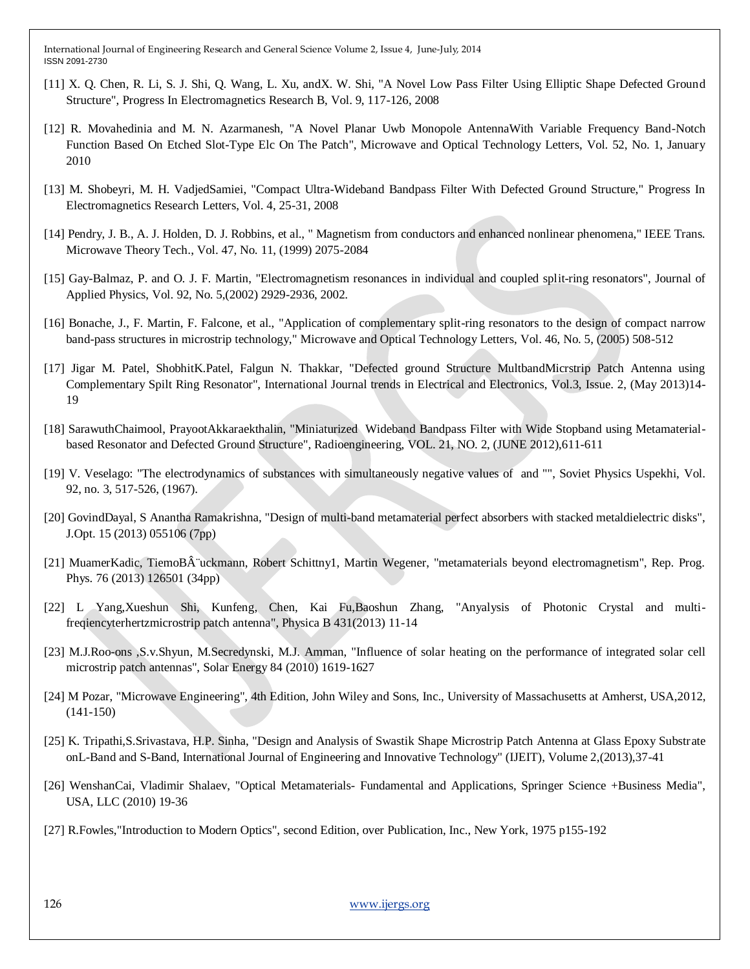- [11] X. Q. Chen, R. Li, S. J. Shi, Q. Wang, L. Xu, andX. W. Shi, "A Novel Low Pass Filter Using Elliptic Shape Defected Ground Structure", Progress In Electromagnetics Research B, Vol. 9, 117-126, 2008
- [12] R. Movahedinia and M. N. Azarmanesh, "A Novel Planar Uwb Monopole AntennaWith Variable Frequency Band-Notch Function Based On Etched Slot-Type Elc On The Patch", Microwave and Optical Technology Letters, Vol. 52, No. 1, January 2010
- [13] M. Shobeyri, M. H. VadjedSamiei, "Compact Ultra-Wideband Bandpass Filter With Defected Ground Structure," Progress In Electromagnetics Research Letters, Vol. 4, 25-31, 2008
- [14] Pendry, J. B., A. J. Holden, D. J. Robbins, et al., " Magnetism from conductors and enhanced nonlinear phenomena," IEEE Trans. Microwave Theory Tech., Vol. 47, No. 11, (1999) 2075-2084
- [15] Gay-Balmaz, P. and O. J. F. Martin, "Electromagnetism resonances in individual and coupled split-ring resonators", Journal of Applied Physics, Vol. 92, No. 5,(2002) 2929-2936, 2002.
- [16] Bonache, J., F. Martin, F. Falcone, et al., "Application of complementary split-ring resonators to the design of compact narrow band-pass structures in microstrip technology," Microwave and Optical Technology Letters, Vol. 46, No. 5, (2005) 508-512
- [17] Jigar M. Patel, ShobhitK.Patel, Falgun N. Thakkar, "Defected ground Structure MultbandMicrstrip Patch Antenna using Complementary Spilt Ring Resonator", International Journal trends in Electrical and Electronics, Vol.3, Issue. 2, (May 2013)14- 19
- [18] SarawuthChaimool, PrayootAkkaraekthalin, "Miniaturized Wideband Bandpass Filter with Wide Stopband using Metamaterialbased Resonator and Defected Ground Structure", Radioengineering, VOL. 21, NO. 2, (JUNE 2012),611-611
- [19] V. Veselago: "The electrodynamics of substances with simultaneously negative values of and "", Soviet Physics Uspekhi, Vol. 92, no. 3, 517-526, (1967).
- [20] GovindDayal, S Anantha Ramakrishna, "Design of multi-band metamaterial perfect absorbers with stacked metaldielectric disks", J.Opt. 15 (2013) 055106 (7pp)
- [21] MuamerKadic, TiemoB¨uckmann, Robert Schittny1, Martin Wegener, "metamaterials beyond electromagnetism", Rep. Prog. Phys. 76 (2013) 126501 (34pp)
- [22] L Yang,Xueshun Shi, Kunfeng, Chen, Kai Fu,Baoshun Zhang, "Anyalysis of Photonic Crystal and multifreqiencyterhertzmicrostrip patch antenna", Physica B 431(2013) 11-14
- [23] M.J.Roo-ons ,S.v.Shyun, M.Secredynski, M.J. Amman, "Influence of solar heating on the performance of integrated solar cell microstrip patch antennas", Solar Energy 84 (2010) 1619-1627
- [24] M Pozar, "Microwave Engineering", 4th Edition, John Wiley and Sons, Inc., University of Massachusetts at Amherst, USA,2012, (141-150)
- [25] K. Tripathi,S.Srivastava, H.P. Sinha, "Design and Analysis of Swastik Shape Microstrip Patch Antenna at Glass Epoxy Substrate onL-Band and S-Band, International Journal of Engineering and Innovative Technology" (IJEIT), Volume 2,(2013),37-41
- [26] WenshanCai, Vladimir Shalaev, "Optical Metamaterials- Fundamental and Applications, Springer Science +Business Media", USA, LLC (2010) 19-36
- [27] R.Fowles,"Introduction to Modern Optics", second Edition, over Publication, Inc., New York, 1975 p155-192